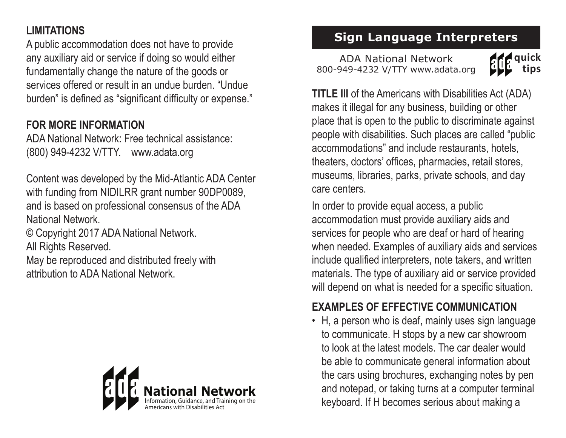# **LIMITATIONS**

A public accommodation does not have to provide any auxiliary aid or service if doing so would either fundamentally change the nature of the goods or services offered or result in an undue burden. "Undue burden" is defined as "significant difficulty or expense."

#### **FOR MORE INFORMATION**

ADA National Network: Free technical assistance: (800) 949-4232 V/TTY. www.adata.org

Content was developed by the Mid-Atlantic ADA Center with funding from NIDILRR grant number 90DP0089, and is based on professional consensus of the ADA National Network.

© Copyright 2017 ADA National Network. All Rights Reserved.

May be reproduced and distributed freely with attribution to ADA National Network.



# **Sign Language Interpreters**

ADA National Network 800-949-4232 V/TTY www.adata.org



**TITLE III** of the Americans with Disabilities Act (ADA) makes it illegal for any business, building or other place that is open to the public to discriminate against people with disabilities. Such places are called "public accommodations" and include restaurants, hotels, theaters, doctors' offices, pharmacies, retail stores, museums, libraries, parks, private schools, and day care centers.

In order to provide equal access, a public accommodation must provide auxiliary aids and services for people who are deaf or hard of hearing when needed. Examples of auxiliary aids and services include qualified interpreters, note takers, and written materials. The type of auxiliary aid or service provided will depend on what is needed for a specific situation.

#### **EXAMPLES OF EFFECTIVE COMMUNICATION**

• H, a person who is deaf, mainly uses sign language to communicate. H stops by a new car showroom to look at the latest models. The car dealer would be able to communicate general information about the cars using brochures, exchanging notes by pen and notepad, or taking turns at a computer terminal keyboard. If H becomes serious about making a